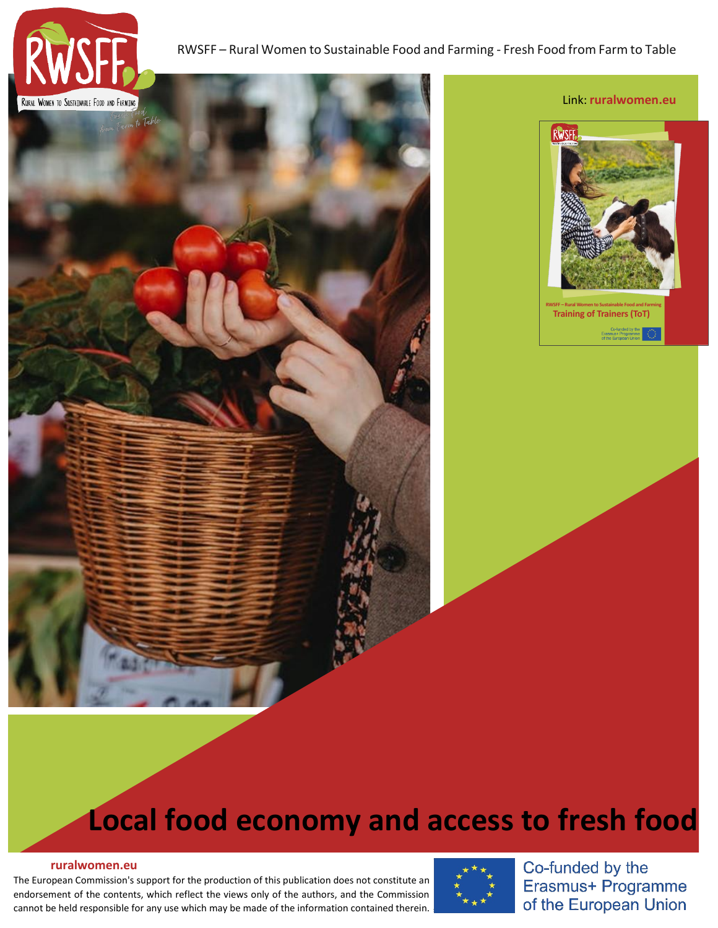



## **Local food economy and access to fresh food**

## **[ruralwomen.eu](https://ruralwomen.eu/local/staticpage/view.php?page=contact_en)**

The European Commission's support for the production of this publication does not constitute an endorsement of the contents, which reflect the views only of the authors, and the Commission cannot be held responsible for any use which may be made of the information contained therein.



Co-funded by the Erasmus+ Programme of the European Union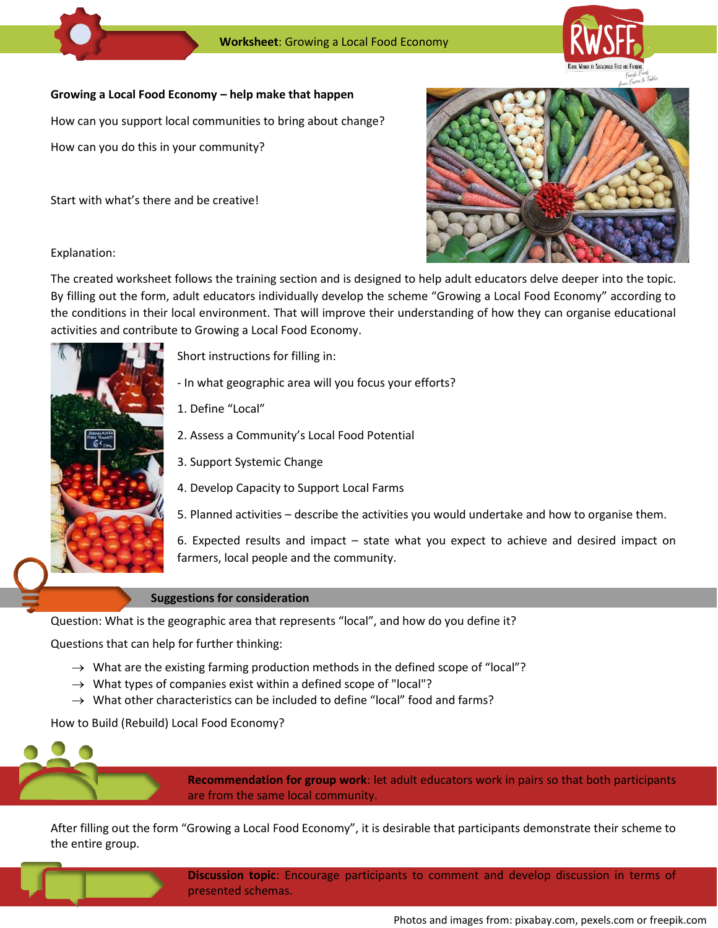

## **Growing a Local Food Economy help make that happen**

How can you support local communities to bring about change?

How can you do this in your community?

Start with what's there and be creative!



Explanation:

The created worksheet follows the training section and is designed to help adult educators delve deeper into the topic. By filling out the form, adult educators individually develop the scheme "Growing a Local Food Economy" according to the conditions in their local environment. That will improve their understanding of how they can organise educational activities and contribute to Growing a Local Food Economy.



Short instructions for filling in:

- In what geographic area will you focus your efforts?

1. Define "Local"

2. Assess a Community's Local Food Potential

3. Support Systemic Change

4. Develop Capacity to Support Local Farms

5. Planned activities – describe the activities you would undertake and how to organise them.

6. Expected results and impact – state what you expect to achieve and desired impact on farmers, local people and the community.

## **Suggestions for consideration**

Question: What is the geographic area that represents "local", and how do you define it?

Questions that can help for further thinking:

- $\rightarrow$  What are the existing farming production methods in the defined scope of "local"?
- $\rightarrow$  What types of companies exist within a defined scope of "local"?
- $\rightarrow$  What other characteristics can be included to define "local" food and farms?

How to Build (Rebuild) Local Food Economy?



**Recommendation for group work**: let adult educators work in pairs so that both participants are from the same local community.

After filling out the form "Growing a Local Food Economy", it is desirable that participants demonstrate their scheme to the entire group.

> **Discussion topic**: Encourage participants to comment and develop discussion in terms of presented schemas.